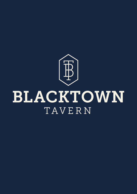

# BLACKTOWN TAVERN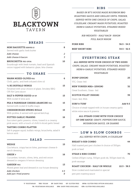V VEGETARIAN VEG VEGAN DF DAIRY FREE GF GLUTEN FREE GFOA GLUTEN FREE OPTION AVAILABLE VA VEGETARIAN AVAILABLE DFA DAIRY FREE AVAILABLE GFA GLUTEN FREE AVAILABLE

## RIBS

*BASED IN BT'S HOUSE MADE BOURBON BBQ ROASTING SAUCE AND GRILLED UNTIL TENDER, SERVED WITH ONE CHOICE OF CHIPS, SALAD, COLESLAW, CREAMY MASH POTATOES, ROASTED HERB & GARLIC POTATOES, STEAMED MIXED VEGETABLES*

> *RIB WEIGHTS - HALF RACK- 500GM FULL RACK 900GM*

PORK RIBS 36.5 - 54.5

BEEF SHORT RIBS 34.5 - 52.5

## EVERYTHING STEAK

*ALL SERVED WITH YOUR CHOICE OF TWO SIDES: CHIPS, SALAD, CREAMY MASH POTATOES, ROASTED HERB & GARLIC POTATOES, STEAMED MIXED VEGETABLES*

| <b>RUMP (250GM)</b>                                | 25      |
|----------------------------------------------------|---------|
| VIC, Grass-fed                                     |         |
| <b>NEW YORKER MB2+ (250GM)</b>                     | 32      |
| Great Southern, Grass-fed                          |         |
| <b>SCOTCH FILLET (300GM)</b>                       | 39      |
| Grain-fed, MSA                                     |         |
| <b>SURF &amp; TURF</b>                             | Add 9.5 |
| Choice of steak topped with in house creamy garlic |         |
| white wine sauce & prawns                          |         |
| ALL STEAKS COME WITH YOUR CHOICE                   |         |
| <b>OF ONE SAUCE: GRAVY, PEPPERCORN SAUCE,</b>      |         |
| <i>MUSHROOM SAUCE, OR DIANNE</i>                   |         |

# $-$  LOW & SLOW COMBOS

#### *ALL SERVED WITH CHIPS, & COLESLAW*

#### BREAST & RIB COMBO 44

Half roasted peri peri chicken & choice of 300qm

pork or beef

#### STEAK & RIBS COMBO 70

Grilled 250gm rump, 300gm pork rib, 300gm beef rib, pork sausage

#### ROAST CHICKEN - HALF OR WHOLE 22.5 - 38.5

Slow cooked and marinated in special

peri peri roasting sauce



#### BREADS

| <b>MINI BAGUETTE (SERVES 2)</b>                |     |
|------------------------------------------------|-----|
| Served with garlic herb butter                 |     |
| Add cheese                                     |     |
| Add cheese & bacon                             | 3   |
| <b>BRUSCHETTA VEG GFOA</b>                     | 1 N |
| Sourdough with fresh tomato, basil and Spanish |     |

onion topped with balsamic glaze, feta cheese

| TO SHARE                                                                                                                                       |    |
|------------------------------------------------------------------------------------------------------------------------------------------------|----|
| <b>WARM MIXED OLIVES VEG</b><br>Chilli, garlic, and herb infused olive oil                                                                     | 6  |
| 1/2 KG BUFFALO WINGS<br>Finished with your choice of glaze, Smokey BBQ<br>OR Hot Lava sauce                                                    | 15 |
| <b>SALT &amp; PEPPER SQUID GF DF</b><br>With rocket & lime aioli                                                                               | 15 |
| PEA & PARMESAN CHEESE ARANCINI VEG<br>Served with rocket & truffle mayo                                                                        | 15 |
| <b>CHEESEBURGER SPRING ROLLS</b><br>With pickles, & served with spiced ketchup                                                                 | 15 |
| <b>POTTED GARLIC PRAWNS</b><br>Succulent garlic prawns, olives, tossed in a creamy<br>pink sauce, with a touch of chilli & sliced garlic bread | 16 |
| <b>TASTING COMBO PLATTER</b><br>Salt & pepper squid, buffalo wings, bruschetta, salad &<br>lemon aioli                                         | 27 |

#### SALAD

WEDGE 15

Cos lettuce, crispy bacon bites, parmesan cheese & ranch dressing

#### GREEK V 16

Cucumber, tomato, olives, fetta, and red onion dressed in oregano & lemon dressing

#### GARDEN VEG 13

Mixed green leaf and dressed in our house dressing

*Add chicken 4.5 Add pan-fried prawns 8*